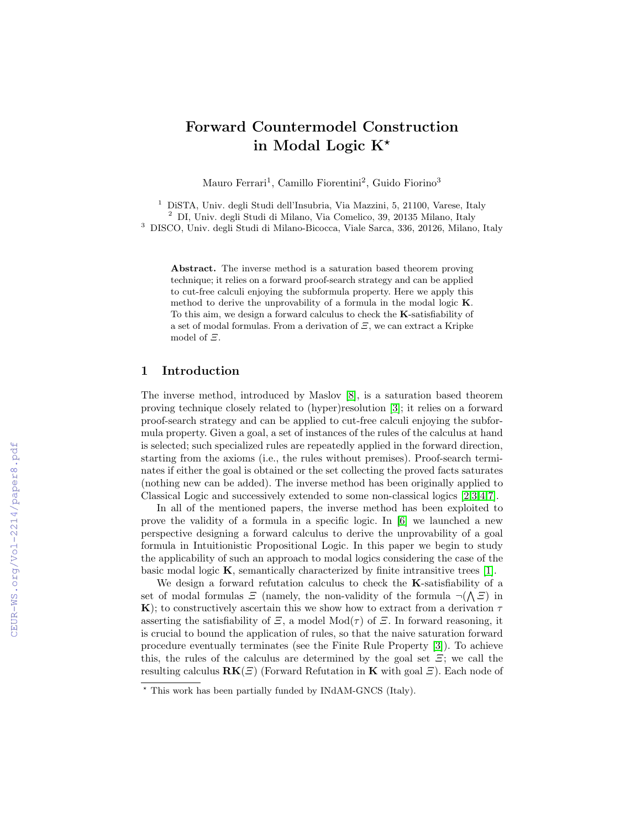# Forward Countermodel Construction in Modal Logic  $K^*$

Mauro Ferrari<sup>1</sup>, Camillo Fiorentini<sup>2</sup>, Guido Fiorino<sup>3</sup>

<sup>1</sup> DiSTA, Univ. degli Studi dell'Insubria, Via Mazzini, 5, 21100, Varese, Italy  $^{2}$  DI, Univ. degli Studi di Milano, Via Comelico, 39, 20135 Milano, Italy <sup>3</sup> DISCO, Univ. degli Studi di Milano-Bicocca, Viale Sarca, 336, 20126, Milano, Italy

Abstract. The inverse method is a saturation based theorem proving technique; it relies on a forward proof-search strategy and can be applied to cut-free calculi enjoying the subformula property. Here we apply this method to derive the unprovability of a formula in the modal logic K. To this aim, we design a forward calculus to check the K-satisfiability of a set of modal formulas. From a derivation of  $E$ , we can extract a Kripke model of Ξ.

## 1 Introduction

The inverse method, introduced by Maslov [\[8\]](#page--1-0), is a saturation based theorem proving technique closely related to (hyper)resolution [\[3\]](#page--1-1); it relies on a forward proof-search strategy and can be applied to cut-free calculi enjoying the subformula property. Given a goal, a set of instances of the rules of the calculus at hand is selected; such specialized rules are repeatedly applied in the forward direction, starting from the axioms (i.e., the rules without premises). Proof-search terminates if either the goal is obtained or the set collecting the proved facts saturates (nothing new can be added). The inverse method has been originally applied to Classical Logic and successively extended to some non-classical logics [\[2,](#page--1-2)[3,](#page--1-1)[4,](#page--1-3)[7\]](#page--1-4).

In all of the mentioned papers, the inverse method has been exploited to prove the validity of a formula in a specific logic. In [\[6\]](#page--1-5) we launched a new perspective designing a forward calculus to derive the unprovability of a goal formula in Intuitionistic Propositional Logic. In this paper we begin to study the applicability of such an approach to modal logics considering the case of the basic modal logic  $K$ , semantically characterized by finite intransitive trees [\[1\]](#page--1-6).

We design a forward refutation calculus to check the **K**-satisfiability of a set of modal formulas  $\Xi$  (namely, the non-validity of the formula  $\neg(\Lambda \Xi)$  in K); to constructively ascertain this we show how to extract from a derivation  $\tau$ asserting the satisfiability of  $\Xi$ , a model Mod( $\tau$ ) of  $\Xi$ . In forward reasoning, it is crucial to bound the application of rules, so that the naive saturation forward procedure eventually terminates (see the Finite Rule Property [\[3\]](#page--1-1)). To achieve this, the rules of the calculus are determined by the goal set  $\Xi$ ; we call the resulting calculus  $\mathbf{R}\mathbf{K}(\Xi)$  (Forward Refutation in **K** with goal  $\Xi$ ). Each node of

<sup>?</sup> This work has been partially funded by INdAM-GNCS (Italy).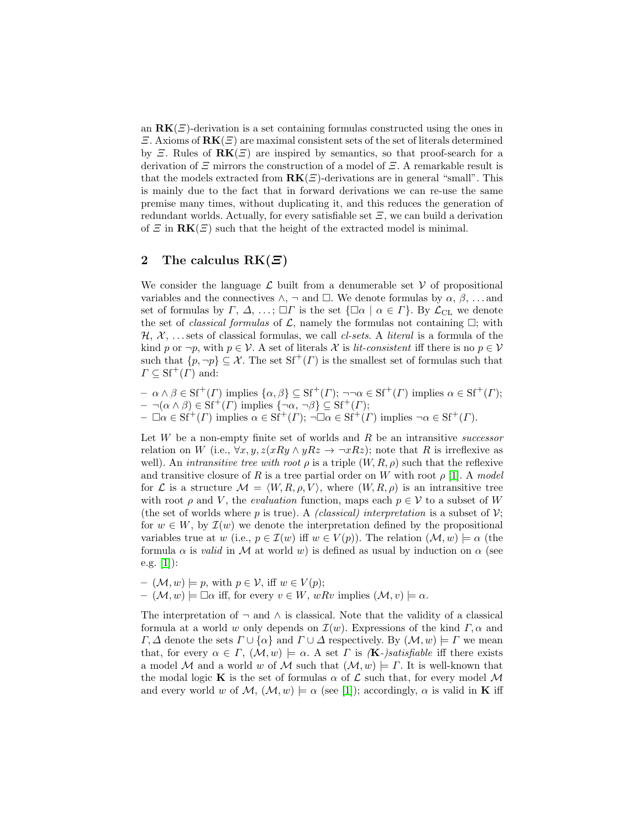an  $\mathbf{R}\mathbf{K}(\mathcal{E})$ -derivation is a set containing formulas constructed using the ones in  $\mathcal{E}$ . Axioms of  $\mathbf{R}\mathbf{K}(\mathcal{E})$  are maximal consistent sets of the set of literals determined by  $\mathcal{Z}$ . Rules of  $\mathbf{R}\mathbf{K}(\mathcal{Z})$  are inspired by semantics, so that proof-search for a derivation of  $\Xi$  mirrors the construction of a model of  $\Xi$ . A remarkable result is that the models extracted from  $\mathbf{R}\mathbf{K}(\mathbf{E})$ -derivations are in general "small". This is mainly due to the fact that in forward derivations we can re-use the same premise many times, without duplicating it, and this reduces the generation of redundant worlds. Actually, for every satisfiable set  $\Xi$ , we can build a derivation of  $\Xi$  in  $\mathbf{R}\mathbf{K}(\Xi)$  such that the height of the extracted model is minimal.

# 2 The calculus  $RK(E)$

We consider the language  $\mathcal L$  built from a denumerable set  $\mathcal V$  of propositional variables and the connectives  $\wedge$ ,  $\neg$  and  $\Box$ . We denote formulas by  $\alpha$ ,  $\beta$ , ... and set of formulas by  $\Gamma, \Delta, \ldots; \Box \Gamma$  is the set  $\{\Box \alpha \mid \alpha \in \Gamma\}$ . By  $\mathcal{L}_{\text{CL}}$  we denote the set of *classical formulas* of  $\mathcal{L}$ , namely the formulas not containing  $\Box$ ; with  $\mathcal{H}, \mathcal{X}, \ldots$  sets of classical formulas, we call *cl-sets*. A *literal* is a formula of the kind p or  $\neg p$ , with  $p \in \mathcal{V}$ . A set of literals X is *lit-consistent* iff there is no  $p \in \mathcal{V}$ such that  $\{p, \neg p\} \subseteq \mathcal{X}$ . The set  $\mathrm{Sf}^+(T)$  is the smallest set of formulas such that  $\Gamma \subseteq \mathrm{Sf}^+(F)$  and:

 $-\alpha \wedge \beta \in \mathrm{Sf}^+(I)$  implies  $\{\alpha, \beta\} \subseteq \mathrm{Sf}^+(I)$ ;  $\neg \alpha \in \mathrm{Sf}^+(I)$  implies  $\alpha \in \mathrm{Sf}^+(I)$ ;  $- \neg(\alpha \wedge \beta) \in \mathrm{Sf}^+(I)$  implies  $\{\neg \alpha, \neg \beta\} \subseteq \mathrm{Sf}^+(I);$  $-\Box \alpha \in \mathrm{S}f^+(I)$  implies  $\alpha \in \mathrm{S}f^+(I)$ ;  $\neg \Box \alpha \in \mathrm{S}f^+(I)$  implies  $\neg \alpha \in \mathrm{S}f^+(I)$ .

Let  $W$  be a non-empty finite set of worlds and  $R$  be an intransitive successor relation on W (i.e.,  $\forall x, y, z(xRy \land yRz \rightarrow \neg xRz)$ ; note that R is irreflexive as well). An *intransitive tree with root*  $\rho$  is a triple  $(W, R, \rho)$  such that the reflexive and transitive closure of R is a tree partial order on W with root  $\rho$  [\[1\]](#page-5-0). A model for L is a structure  $\mathcal{M} = \langle W, R, \rho, V \rangle$ , where  $(W, R, \rho)$  is an intransitive tree with root  $\rho$  and V, the *evaluation* function, maps each  $p \in V$  to a subset of W (the set of worlds where p is true). A *(classical) interpretation* is a subset of  $\mathcal{V}$ ; for  $w \in W$ , by  $\mathcal{I}(w)$  we denote the interpretation defined by the propositional variables true at w (i.e.,  $p \in \mathcal{I}(w)$  iff  $w \in V(p)$ ). The relation  $(\mathcal{M}, w) \models \alpha$  (the formula  $\alpha$  is valid in M at world w) is defined as usual by induction on  $\alpha$  (see e.g.  $[1]$ :

$$
- (\mathcal{M}, w) \models p, \text{ with } p \in \mathcal{V}, \text{ iff } w \in V(p);
$$
  

$$
- (\mathcal{M}, w) \models \Box \alpha \text{ iff, for every } v \in W, wRv \text{ implies } (\mathcal{M}, v) \models \alpha.
$$

The interpretation of  $\neg$  and  $\wedge$  is classical. Note that the validity of a classical formula at a world w only depends on  $\mathcal{I}(w)$ . Expressions of the kind  $\Gamma, \alpha$  and  $\Gamma, \Delta$  denote the sets  $\Gamma \cup {\alpha}$  and  $\Gamma \cup \Delta$  respectively. By  $(\mathcal{M}, w) \models \Gamma$  we mean that, for every  $\alpha \in \Gamma$ ,  $(\mathcal{M}, w) \models \alpha$ . A set  $\Gamma$  is  $(\mathbf{K})$ -satisfiable iff there exists a model M and a world w of M such that  $(M, w) \models \Gamma$ . It is well-known that the modal logic **K** is the set of formulas  $\alpha$  of  $\mathcal{L}$  such that, for every model M and every world w of  $\mathcal{M}, (\mathcal{M}, w) \models \alpha$  (see [\[1\]](#page-5-0)); accordingly,  $\alpha$  is valid in **K** iff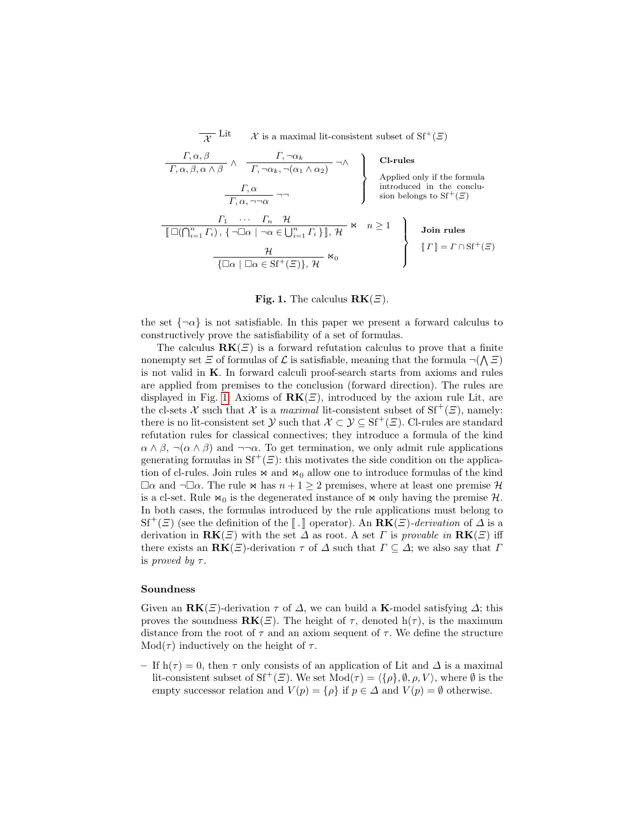$\overline{\chi}$  Lit  $\chi$  is a maximal lit-consistent subset of Sf<sup>+</sup>(*Ξ*)

$$
\begin{array}{c}\nT, \alpha, \beta \longrightarrow \mathcal{T}, \neg \alpha_k \longrightarrow \mathcal{T}, \neg \alpha_k \longrightarrow \mathcal{T}, \neg \alpha_k \longrightarrow \mathcal{T}, \neg \alpha_k \longrightarrow \mathcal{T}, \neg \alpha_k \longrightarrow \mathcal{T}, \alpha \longrightarrow \mathcal{T}, \alpha \longrightarrow \mathcal{T}, \alpha \longrightarrow \mathcal{T}, \alpha \longrightarrow \mathcal{T}, \alpha \longrightarrow \mathcal{T}, \alpha \longrightarrow \mathcal{T}, \alpha \longrightarrow \mathcal{T}, \alpha \longrightarrow \mathcal{T}, \alpha \longrightarrow \mathcal{T}, \alpha \longrightarrow \mathcal{T}, \alpha \longrightarrow \mathcal{T}, \alpha \longrightarrow \mathcal{T}, \alpha \longrightarrow \mathcal{T}, \alpha \longrightarrow \mathcal{T}, \alpha \longrightarrow \mathcal{T}, \alpha \longrightarrow \mathcal{T}, \alpha \longrightarrow \mathcal{T}, \alpha \longrightarrow \mathcal{T}, \alpha \longrightarrow \mathcal{T}, \alpha \longrightarrow \mathcal{T}, \alpha \longrightarrow \mathcal{T}, \alpha \longrightarrow \mathcal{T}, \alpha \longrightarrow \mathcal{T}, \alpha \longrightarrow \mathcal{T}, \alpha \longrightarrow \mathcal{T}, \alpha \longrightarrow \mathcal{T}, \alpha \longrightarrow \mathcal{T}, \alpha \longrightarrow \mathcal{T}, \alpha \longrightarrow \mathcal{T}, \alpha \longrightarrow \mathcal{T}, \alpha \longrightarrow \mathcal{T}, \alpha \longrightarrow \mathcal{T}, \alpha \longrightarrow \mathcal{T}, \alpha \longrightarrow \mathcal{T}, \alpha \longrightarrow \mathcal{T}, \alpha \longrightarrow \mathcal{T}, \alpha \longrightarrow \mathcal{T}, \alpha \longrightarrow \mathcal{T}, \alpha \longrightarrow \mathcal{T}, \alpha \longrightarrow \mathcal{T}, \alpha \longrightarrow \mathcal{T}, \alpha \longrightarrow \mathcal{T}, \alpha \longrightarrow \mathcal{T}, \alpha \longrightarrow \mathcal{T}, \alpha \longrightarrow \mathcal{T}, \alpha \longrightarrow \mathcal{T}, \alpha \longrightarrow \mathcal{T}, \alpha \longrightarrow \mathcal{T}, \alpha \longrightarrow \mathcal{T}, \alpha \longrightarrow \mathcal{T}, \alpha \longrightarrow \mathcal{T}, \alpha \longrightarrow \mathcal{T}, \alpha \longrightarrow \mathcal{T}, \alpha \longrightarrow \mathcal{T}, \alpha \longrightarrow \mathcal{T}, \alpha \longrightarrow \mathcal{T}, \alpha \longrightarrow \mathcal{T}, \alpha \longrightarrow \mathcal{T}, \alpha \longrightarrow \mathcal{T}, \alpha \longrightarrow \mathcal{T}, \alpha \longrightarrow \mathcal{T}, \alpha \longrightarrow \mathcal{T}, \alpha \longrightarrow \mathcal{T}, \alpha \longrightarrow \mathcal{T}, \alpha \longrightarrow \mathcal{T}, \alpha \longrightarrow \mathcal{T}, \alpha \longrightarrow \mathcal{T}, \alpha \longrightarrow \mathcal{T}, \alpha \longrightarrow \mathcal{T}, \alpha \longrightarrow \mathcal{T}, \alpha \longrightarrow \mathcal{T}, \alpha \longrightarrow \mathcal{T}, \alpha \longrightarrow \mathcal{T}, \alpha \longrightarrow \mathcal{T}, \alpha \longrightarrow \mathcal{T}, \alpha \
$$

#### Fig. 1. The calculus  $RK(\mathcal{Z})$ .

<span id="page-2-0"></span>the set  $\{\neg \alpha\}$  is not satisfiable. In this paper we present a forward calculus to constructively prove the satisfiability of a set of formulas.

The calculus  $\mathbf{R}\mathbf{K}(\mathbf{E})$  is a forward refutation calculus to prove that a finite nonempty set  $\Xi$  of formulas of  $\mathcal L$  is satisfiable, meaning that the formula  $\neg(\bigwedge \Xi)$ is not valid in K. In forward calculi proof-search starts from axioms and rules are applied from premises to the conclusion (forward direction). The rules are displayed in Fig. [1.](#page-2-0) Axioms of  $\mathbf{R}\mathbf{K}(\mathbf{E})$ , introduced by the axiom rule Lit, are the cl-sets X such that X is a maximal lit-consistent subset of  $Sf^+(\mathcal{E})$ , namely: there is no lit-consistent set  $\mathcal{Y}$  such that  $\mathcal{X} \subset \mathcal{Y} \subseteq \mathrm{Sf}^+(\mathcal{Z})$ . Cl-rules are standard refutation rules for classical connectives; they introduce a formula of the kind  $\alpha \wedge \beta$ ,  $\neg(\alpha \wedge \beta)$  and  $\neg\neg \alpha$ . To get termination, we only admit rule applications generating formulas in  $Sf^+(E)$ : this motivates the side condition on the application of cl-rules. Join rules  $\bowtie$  and  $\bowtie$ <sub>0</sub> allow one to introduce formulas of the kind  $\Box \alpha$  and  $\neg \Box \alpha$ . The rule  $\bowtie$  has  $n + 1 \geq 2$  premises, where at least one premise  $\mathcal{H}$ is a cl-set. Rule  $\bowtie$ <sub>0</sub> is the degenerated instance of  $\bowtie$  only having the premise H. In both cases, the formulas introduced by the rule applications must belong to  $Sf^+(\Xi)$  (see the definition of the  $\llbracket . \rrbracket$  operator). An  $RK(\Xi)$ -derivation of  $\Delta$  is a derivation in  $\mathbf{RK}(\Xi)$  with the set  $\Delta$  as root. A set  $\Gamma$  is provable in  $\mathbf{RK}(\Xi)$  iff there exists an  $\mathbf{R}\mathbf{K}(\Xi)$ -derivation  $\tau$  of  $\Delta$  such that  $\Gamma \subseteq \Delta$ ; we also say that  $\Gamma$ is proved by  $\tau$ .

#### Soundness

Given an  $\mathbf{R}\mathbf{K}(\Xi)$ -derivation  $\tau$  of  $\Delta$ , we can build a **K**-model satisfying  $\Delta$ ; this proves the soundness  $\mathbf{R}\mathbf{K}(\mathbf{E})$ . The height of  $\tau$ , denoted  $h(\tau)$ , is the maximum distance from the root of  $\tau$  and an axiom sequent of  $\tau$ . We define the structure  $Mod(τ)$  inductively on the height of  $τ$ .

– If  $h(\tau) = 0$ , then  $\tau$  only consists of an application of Lit and  $\Delta$  is a maximal lit-consistent subset of Sf<sup>+</sup>(Ξ). We set Mod(τ) =  $\langle \{\rho\}, \emptyset, \rho, V \rangle$ , where  $\emptyset$  is the empty successor relation and  $V(p) = \{\rho\}$  if  $p \in \Delta$  and  $V(p) = \emptyset$  otherwise.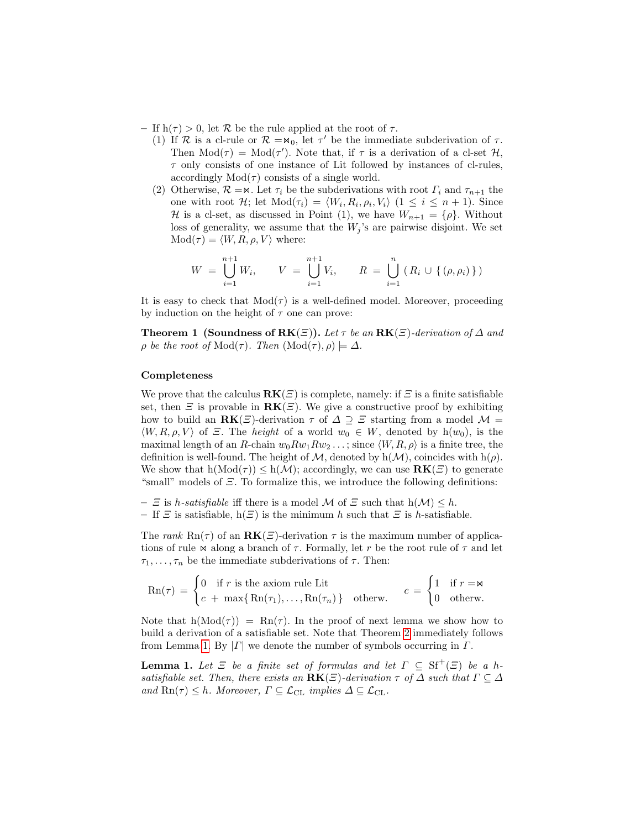– If  $h(\tau) > 0$ , let R be the rule applied at the root of  $\tau$ .

- (1) If  $\mathcal R$  is a cl-rule or  $\mathcal R = \mathsf{M}_0$ , let  $\tau'$  be the immediate subderivation of  $\tau$ . Then  $Mod(\tau) = Mod(\tau')$ . Note that, if  $\tau$  is a derivation of a cl-set  $\mathcal{H}$ ,  $\tau$  only consists of one instance of Lit followed by instances of cl-rules, accordingly  $Mod(τ)$  consists of a single world.
- (2) Otherwise,  $\mathcal{R} = \mathbb{R}$ . Let  $\tau_i$  be the subderivations with root  $\Gamma_i$  and  $\tau_{n+1}$  the one with root H; let  $Mod(\tau_i) = \langle W_i, R_i, \rho_i, V_i \rangle$   $(1 \leq i \leq n+1)$ . Since H is a cl-set, as discussed in Point (1), we have  $W_{n+1} = {\rho}.$  Without loss of generality, we assume that the  $W_j$ 's are pairwise disjoint. We set  $Mod( \tau ) = \langle W, R, \rho, V \rangle$  where:

$$
W = \bigcup_{i=1}^{n+1} W_i, \qquad V = \bigcup_{i=1}^{n+1} V_i, \qquad R = \bigcup_{i=1}^{n} (R_i \cup \{(\rho, \rho_i)\})
$$

It is easy to check that  $Mod( \tau )$  is a well-defined model. Moreover, proceeding by induction on the height of  $\tau$  one can prove:

**Theorem 1 (Soundness of RK** $(\Xi)$ ). Let  $\tau$  be an **RK** $(\Xi)$ -derivation of  $\Delta$  and  $\rho$  be the root of Mod(τ). Then  $(\text{Mod}(\tau), \rho) \models \Delta$ .

#### Completeness

We prove that the calculus  $\mathbf{R}\mathbf{K}(\mathcal{Z})$  is complete, namely: if  $\mathcal{Z}$  is a finite satisfiable set, then  $\Xi$  is provable in  $\mathbf{R}\mathbf{K}(\Xi)$ . We give a constructive proof by exhibiting how to build an  $\mathbf{R}\mathbf{K}(\Xi)$ -derivation  $\tau$  of  $\Delta \supseteq \Xi$  starting from a model  $\mathcal{M} =$  $\langle W, R, \rho, V \rangle$  of  $\Xi$ . The *height* of a world  $w_0 \in W$ , denoted by h $(w_0)$ , is the maximal length of an R-chain  $w_0 R w_1 R w_2 \dots$ ; since  $\langle W, R, \rho \rangle$  is a finite tree, the definition is well-found. The height of  $\mathcal{M}$ , denoted by h( $\mathcal{M}$ ), coincides with h( $\rho$ ). We show that  $h(Mod(\tau)) \leq h(M)$ ; accordingly, we can use  $\mathbf{R}\mathbf{K}(\Xi)$  to generate "small" models of  $E$ . To formalize this, we introduce the following definitions:

–  $\Xi$  is h-satisfiable iff there is a model M of  $\Xi$  such that  $h(\mathcal{M}) \leq h$ .

– If  $\Xi$  is satisfiable,  $h(\Xi)$  is the minimum h such that  $\Xi$  is h-satisfiable.

The rank Rn( $\tau$ ) of an **RK**( $\Xi$ )-derivation  $\tau$  is the maximum number of applications of rule  $\bowtie$  along a branch of  $\tau$ . Formally, let r be the root rule of  $\tau$  and let  $\tau_1, \ldots, \tau_n$  be the immediate subderivations of  $\tau$ . Then:

$$
\text{Rn}(\tau) = \begin{cases} 0 & \text{if } r \text{ is the axiom rule Lit} \\ c + \max\{\text{Rn}(\tau_1), \dots, \text{Rn}(\tau_n)\} & \text{otherwise.} \end{cases} \quad c = \begin{cases} 1 & \text{if } r = \bowtie \\ 0 & \text{otherwise.} \end{cases}
$$

Note that  $h(\text{Mod}(\tau)) = \text{Rn}(\tau)$ . In the proof of next lemma we show how to build a derivation of a satisfiable set. Note that Theorem [2](#page-4-0) immediately follows from Lemma [1.](#page-3-0) By  $|\Gamma|$  we denote the number of symbols occurring in  $\Gamma$ .

<span id="page-3-0"></span>**Lemma 1.** Let  $\Xi$  be a finite set of formulas and let  $\Gamma \subseteq \mathrm{Sf}^+(\Xi)$  be a hsatisfiable set. Then, there exists an  $\mathbf{R}\mathbf{K}(\Xi)$ -derivation  $\tau$  of  $\Delta$  such that  $\Gamma \subseteq \Delta$ and  $\text{Rn}(\tau) \leq h$ . Moreover,  $\Gamma \subseteq \mathcal{L}_{\text{CL}}$  implies  $\Delta \subseteq \mathcal{L}_{\text{CL}}$ .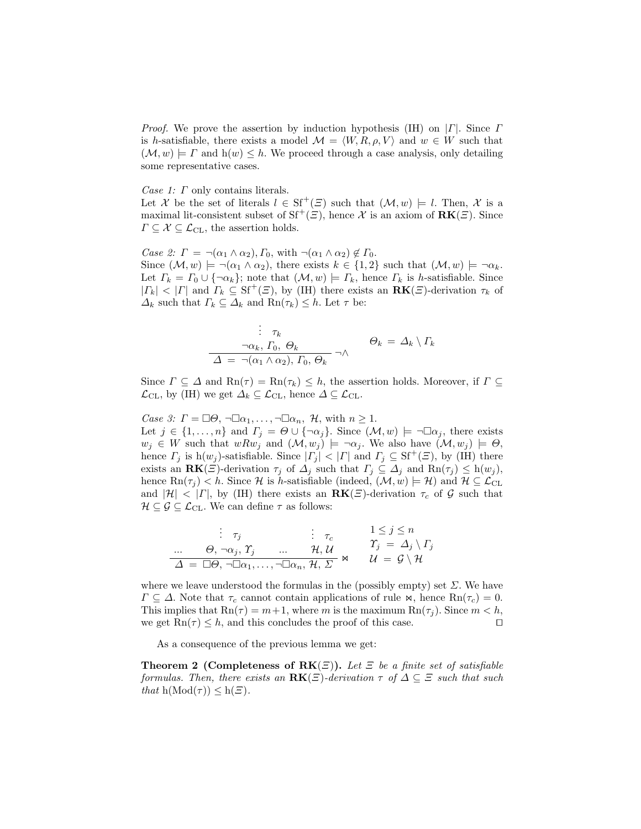*Proof.* We prove the assertion by induction hypothesis (IH) on  $|\Gamma|$ . Since  $\Gamma$ is h-satisfiable, there exists a model  $\mathcal{M} = \langle W, R, \rho, V \rangle$  and  $w \in W$  such that  $(\mathcal{M}, w) \models \Gamma$  and  $h(w) \leq h$ . We proceed through a case analysis, only detailing some representative cases.

Case 1: Γ only contains literals.

Let X be the set of literals  $l \in \mathrm{Sf}^+(E)$  such that  $(\mathcal{M}, w) \models l$ . Then, X is a maximal lit-consistent subset of  $Sf^+(E)$ , hence X is an axiom of  $RK(E)$ . Since  $\Gamma \subseteq \mathcal{X} \subseteq \mathcal{L}_{\text{CL}}$ , the assertion holds.

Case 2:  $\Gamma = \neg(\alpha_1 \wedge \alpha_2), \Gamma_0$ , with  $\neg(\alpha_1 \wedge \alpha_2) \notin \Gamma_0$ . Since  $(\mathcal{M}, w) \models \neg(\alpha_1 \land \alpha_2)$ , there exists  $k \in \{1, 2\}$  such that  $(\mathcal{M}, w) \models \neg \alpha_k$ . Let  $\Gamma_k = \Gamma_0 \cup \{\neg \alpha_k\}$ ; note that  $(\mathcal{M}, w) \models \Gamma_k$ , hence  $\Gamma_k$  is h-satisfiable. Since  $|{\Gamma}_k| < |{\Gamma}|$  and  ${\Gamma}_k \subseteq \mathrm{Sf}^+(\varXi)$ , by (IH) there exists an  $\mathbf{R}\mathbf{K}(\varXi)$ -derivation  $\tau_k$  of  $\Delta_k$  such that  $\Gamma_k \subseteq \Delta_k$  and  $\text{Rn}(\tau_k) \leq h$ . Let  $\tau$  be:

$$
\vdots \tau_k
$$
  
\n
$$
\neg \alpha_k, \Gamma_0, \Theta_k
$$
  
\n
$$
\Delta = \neg(\alpha_1 \land \alpha_2), \Gamma_0, \Theta_k
$$
  
\n
$$
\Theta_k = \Delta_k \setminus \Gamma_k
$$

Since  $\Gamma \subseteq \Delta$  and  $\text{Rn}(\tau) = \text{Rn}(\tau_k) \leq h$ , the assertion holds. Moreover, if  $\Gamma \subseteq$  $\mathcal{L}_{\text{CL}}$ , by (IH) we get  $\Delta_k \subseteq \mathcal{L}_{\text{CL}}$ , hence  $\Delta \subseteq \mathcal{L}_{\text{CL}}$ .

Case 3:  $\Gamma = \Box \Theta$ ,  $\neg \Box \alpha_1, \dots, \neg \Box \alpha_n$ , H, with  $n \geq 1$ . Let  $j \in \{1, \ldots, n\}$  and  $\Gamma_j = \Theta \cup \{\neg \alpha_j\}$ . Since  $(\mathcal{M}, w) \models \neg \Box \alpha_j$ , there exists  $w_j \in W$  such that  $wRw_j$  and  $(\mathcal{M}, w_j) \models \neg \alpha_j$ . We also have  $(\mathcal{M}, w_j) \models \Theta$ , hence  $\Gamma_i$  is  $h(w_i)$ -satisfiable. Since  $|\Gamma_i| < |\Gamma|$  and  $\Gamma_i \subseteq Sf^+(\Xi)$ , by (IH) there exists an  $\mathbf{RK}(\Xi)$ -derivation  $\tau_j$  of  $\Delta_j$  such that  $\Gamma_j \subseteq \Delta_j$  and  $\mathbf{Rn}(\tau_j) \leq h(w_j)$ , hence  $\text{Rn}(\tau_i) < h$ . Since H is h-satisfiable (indeed,  $(\mathcal{M}, w) \models \mathcal{H}$ ) and  $\mathcal{H} \subseteq \mathcal{L}_{\text{CL}}$ and  $|\mathcal{H}| < |\Gamma|$ , by (IH) there exists an  $\mathbf{R}\mathbf{K}(\Xi)$ -derivation  $\tau_c$  of G such that  $\mathcal{H} \subseteq \mathcal{G} \subseteq \mathcal{L}_{\text{CL}}$ . We can define  $\tau$  as follows:

$$
\begin{array}{rcl}\n\vdots & \tau_j & \vdots & \tau_c & 1 \leq j \leq n \\
\ldots & \Theta, \neg \alpha_j, \Upsilon_j & \ldots & \mathcal{H}, \mathcal{U} & \Upsilon_j = \Delta_j \setminus \Gamma_j \\
\Delta = \Box \Theta, \neg \Box \alpha_1, \ldots, \neg \Box \alpha_n, \mathcal{H}, \Sigma & \mathcal{U} = \mathcal{G} \setminus \mathcal{H}\n\end{array}
$$

where we leave understood the formulas in the (possibly empty) set  $\Sigma$ . We have  $\Gamma \subseteq \Delta$ . Note that  $\tau_c$  cannot contain applications of rule  $\kappa$ , hence  $\text{Rn}(\tau_c) = 0$ . This implies that  $\text{Rn}(\tau) = m+1$ , where m is the maximum  $\text{Rn}(\tau_i)$ . Since  $m < h$ , we get  $\text{Rn}(\tau) \leq h$ , and this concludes the proof of this case.

As a consequence of the previous lemma we get:

<span id="page-4-0"></span>**Theorem 2 (Completeness of RK** $(\Xi)$ ). Let  $\Xi$  be a finite set of satisfiable formulas. Then, there exists an  $\mathbf{R}\mathbf{K}(\Xi)$ -derivation  $\tau$  of  $\Delta \subseteq \Xi$  such that such that  $h(Mod(\tau)) \leq h(\Xi)$ .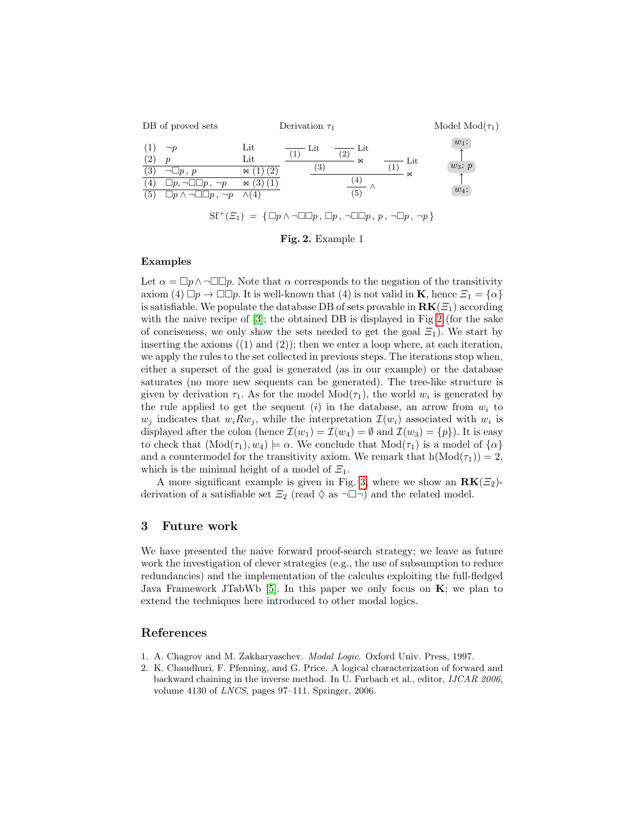

Fig. 2. Example 1

#### <span id="page-5-1"></span>Examples

Let  $\alpha = \Box p \wedge \Box \Box p$ . Note that  $\alpha$  corresponds to the negation of the transitivity axiom (4)  $\Box p \rightarrow \Box \Box p$ . It is well-known that (4) is not valid in **K**, hence  $\Xi_1 = {\alpha}$ is satisfiable. We populate the database DB of sets provable in  $\mathbf{R}\mathbf{K}(\mathcal{Z}_1)$  according with the naive recipe of  $[3]$ ; the obtained DB is displayed in Fig [2](#page-5-1) (for the sake of conciseness, we only show the sets needed to get the goal  $\Xi_1$ ). We start by inserting the axioms  $(1)$  and  $(2)$ ; then we enter a loop where, at each iteration, we apply the rules to the set collected in previous steps. The iterations stop when, either a superset of the goal is generated (as in our example) or the database saturates (no more new sequents can be generated). The tree-like structure is given by derivation  $\tau_1$ . As for the model  $Mod(\tau_1)$ , the world  $w_i$  is generated by the rule applied to get the sequent  $(i)$  in the database, an arrow from  $w_i$  to  $w_j$  indicates that  $w_i R w_j$ , while the interpretation  $\mathcal{I}(w_i)$  associated with  $w_i$  is displayed after the colon (hence  $\mathcal{I}(w_1) = \mathcal{I}(w_4) = \emptyset$  and  $\mathcal{I}(w_3) = \{p\}$ ). It is easy to check that  $(\text{Mod}(\tau_1), w_4) \models \alpha$ . We conclude that  $\text{Mod}(\tau_1)$  is a model of  $\{\alpha\}$ and a countermodel for the transitivity axiom. We remark that  $h(Mod(\tau_1)) = 2$ , which is the minimal height of a model of  $\Xi_1$ .

A more significant example is given in Fig. [3,](#page-6-1) where we show an  $\mathbf{RK}(\mathcal{Z}_2)$ derivation of a satisfiable set  $\mathcal{Z}_2$  (read  $\Diamond$  as  $\neg \Box \neg$ ) and the related model.

# 3 Future work

We have presented the naive forward proof-search strategy; we leave as future work the investigation of clever strategies (e.g., the use of subsumption to reduce redundancies) and the implementation of the calculus exploiting the full-fledged Java Framework JTabWb [\[5\]](#page-6-2). In this paper we only focus on  $\mathbf{K}$ ; we plan to extend the techniques here introduced to other modal logics.

### References

- <span id="page-5-0"></span>1. A. Chagrov and M. Zakharyaschev. Modal Logic. Oxford Univ. Press, 1997.
- 2. K. Chaudhuri, F. Pfenning, and G. Price. A logical characterization of forward and backward chaining in the inverse method. In U. Furbach et al., editor, IJCAR 2006, volume 4130 of LNCS, pages 97–111. Springer, 2006.